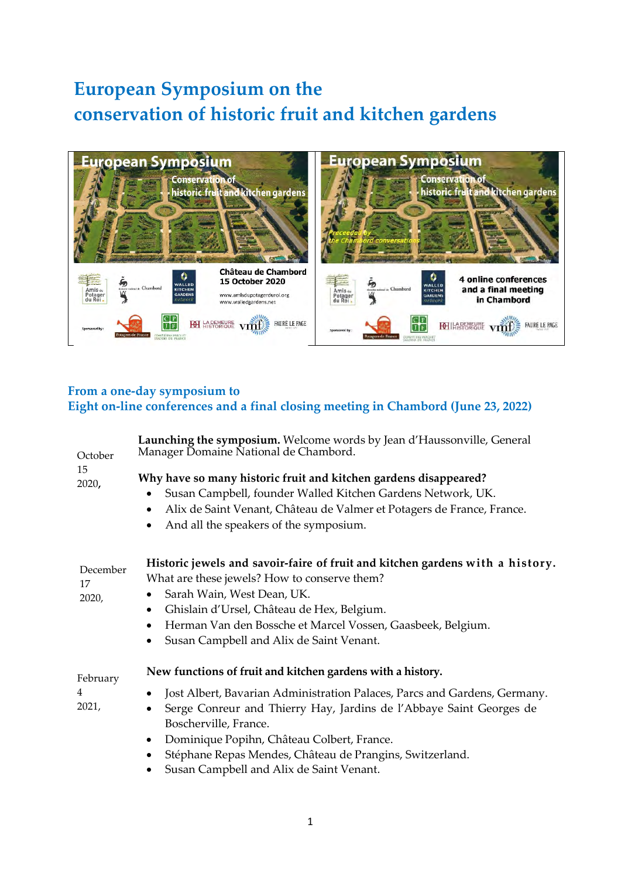## **European Symposium on the conservation of historic fruit and kitchen gardens**



## **From a one-day symposium to Eight on-line conferences and a final closing meeting in Chambord (June 23, 2022)**

| October<br>15<br>2020,  | Launching the symposium. Welcome words by Jean d'Haussonville, General<br>Manager Domaine National de Chambord.                                                                                                                                                                                                                                                                                            |
|-------------------------|------------------------------------------------------------------------------------------------------------------------------------------------------------------------------------------------------------------------------------------------------------------------------------------------------------------------------------------------------------------------------------------------------------|
|                         | Why have so many historic fruit and kitchen gardens disappeared?<br>Susan Campbell, founder Walled Kitchen Gardens Network, UK.<br>Alix de Saint Venant, Château de Valmer et Potagers de France, France.<br>٠<br>And all the speakers of the symposium.                                                                                                                                                   |
| December<br>17<br>2020, | Historic jewels and savoir-faire of fruit and kitchen gardens with a history.<br>What are these jewels? How to conserve them?<br>Sarah Wain, West Dean, UK.<br>Ghislain d'Ursel, Château de Hex, Belgium.<br>٠<br>Herman Van den Bossche et Marcel Vossen, Gaasbeek, Belgium.<br>$\bullet$<br>Susan Campbell and Alix de Saint Venant.                                                                     |
| February<br>4<br>2021,  | New functions of fruit and kitchen gardens with a history.<br>Jost Albert, Bavarian Administration Palaces, Parcs and Gardens, Germany.<br>Serge Conreur and Thierry Hay, Jardins de l'Abbaye Saint Georges de<br>Boscherville, France.<br>Dominique Popihn, Château Colbert, France.<br>$\bullet$<br>Stéphane Repas Mendes, Château de Prangins, Switzerland.<br>Susan Campbell and Alix de Saint Venant. |